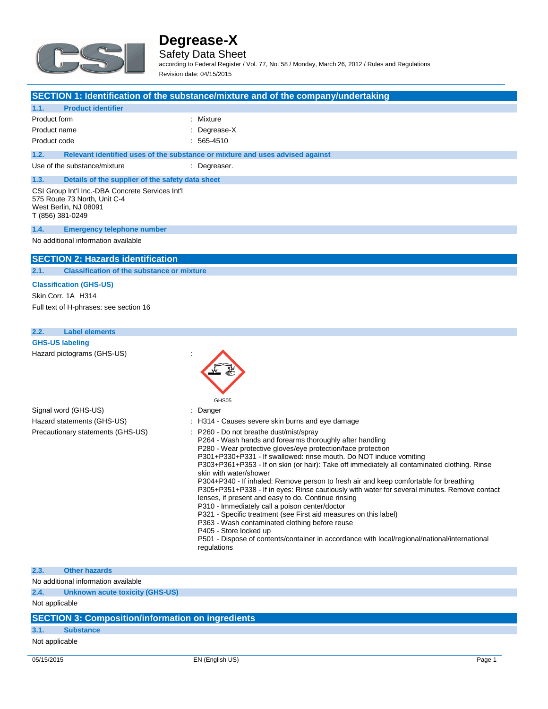

### Safety Data Sheet

according to Federal Register / Vol. 77, No. 58 / Monday, March 26, 2012 / Rules and Regulations Revision date: 04/15/2015

|                                                                                                                               | SECTION 1: Identification of the substance/mixture and of the company/undertaking                                                                                                                                                                                                                                                                                                                                                                                                    |
|-------------------------------------------------------------------------------------------------------------------------------|--------------------------------------------------------------------------------------------------------------------------------------------------------------------------------------------------------------------------------------------------------------------------------------------------------------------------------------------------------------------------------------------------------------------------------------------------------------------------------------|
| 1.1.<br><b>Product identifier</b>                                                                                             |                                                                                                                                                                                                                                                                                                                                                                                                                                                                                      |
| Product form                                                                                                                  | : Mixture                                                                                                                                                                                                                                                                                                                                                                                                                                                                            |
| Product name                                                                                                                  | Degrease-X                                                                                                                                                                                                                                                                                                                                                                                                                                                                           |
| Product code                                                                                                                  | $: 565 - 4510$                                                                                                                                                                                                                                                                                                                                                                                                                                                                       |
| 1.2.                                                                                                                          | Relevant identified uses of the substance or mixture and uses advised against                                                                                                                                                                                                                                                                                                                                                                                                        |
| Use of the substance/mixture                                                                                                  | : Degreaser.                                                                                                                                                                                                                                                                                                                                                                                                                                                                         |
| 1.3.<br>Details of the supplier of the safety data sheet                                                                      |                                                                                                                                                                                                                                                                                                                                                                                                                                                                                      |
| CSI Group Int'l Inc.-DBA Concrete Services Int'l<br>575 Route 73 North, Unit C-4<br>West Berlin, NJ 08091<br>T (856) 381-0249 |                                                                                                                                                                                                                                                                                                                                                                                                                                                                                      |
| 1.4.<br><b>Emergency telephone number</b>                                                                                     |                                                                                                                                                                                                                                                                                                                                                                                                                                                                                      |
| No additional information available                                                                                           |                                                                                                                                                                                                                                                                                                                                                                                                                                                                                      |
| <b>SECTION 2: Hazards identification</b>                                                                                      |                                                                                                                                                                                                                                                                                                                                                                                                                                                                                      |
| <b>Classification of the substance or mixture</b><br>2.1.                                                                     |                                                                                                                                                                                                                                                                                                                                                                                                                                                                                      |
| <b>Classification (GHS-US)</b>                                                                                                |                                                                                                                                                                                                                                                                                                                                                                                                                                                                                      |
| Skin Corr. 1A H314                                                                                                            |                                                                                                                                                                                                                                                                                                                                                                                                                                                                                      |
| Full text of H-phrases: see section 16                                                                                        |                                                                                                                                                                                                                                                                                                                                                                                                                                                                                      |
| 2.2.<br><b>Label elements</b>                                                                                                 |                                                                                                                                                                                                                                                                                                                                                                                                                                                                                      |
| <b>GHS-US labeling</b>                                                                                                        |                                                                                                                                                                                                                                                                                                                                                                                                                                                                                      |
| Hazard pictograms (GHS-US)                                                                                                    | GHS05                                                                                                                                                                                                                                                                                                                                                                                                                                                                                |
| Signal word (GHS-US)                                                                                                          | : Danger                                                                                                                                                                                                                                                                                                                                                                                                                                                                             |
| Hazard statements (GHS-US)                                                                                                    | H314 - Causes severe skin burns and eye damage                                                                                                                                                                                                                                                                                                                                                                                                                                       |
| Precautionary statements (GHS-US)                                                                                             | P260 - Do not breathe dust/mist/spray<br>P264 - Wash hands and forearms thoroughly after handling<br>P280 - Wear protective gloves/eye protection/face protection<br>P301+P330+P331 - If swallowed: rinse mouth. Do NOT induce vomiting<br>P303+P361+P353 - If on skin (or hair): Take off immediately all contaminated clothing. Rinse<br>skin with water/shower<br>the contract of the contract of the contract of the contract of the contract of the contract of the contract of |

P304+P340 - If inhaled: Remove person to fresh air and keep comfortable for breathing

P305+P351+P338 - If in eyes: Rinse cautiously with water for several minutes. Remove contact lenses, if present and easy to do. Continue rinsing

- P310 Immediately call a poison center/doctor
- P321 Specific treatment (see First aid measures on this label)
- P363 Wash contaminated clothing before reuse
- P405 Store locked up

P501 - Dispose of contents/container in accordance with local/regional/national/international regulations

#### **2.3. Other hazards**

No additional information available

**2.4. Unknown acute toxicity (GHS-US)**

Not applicable

### **SECTION 3: Composition/information on ingredients**

#### **3.1. Substance**

Not applicable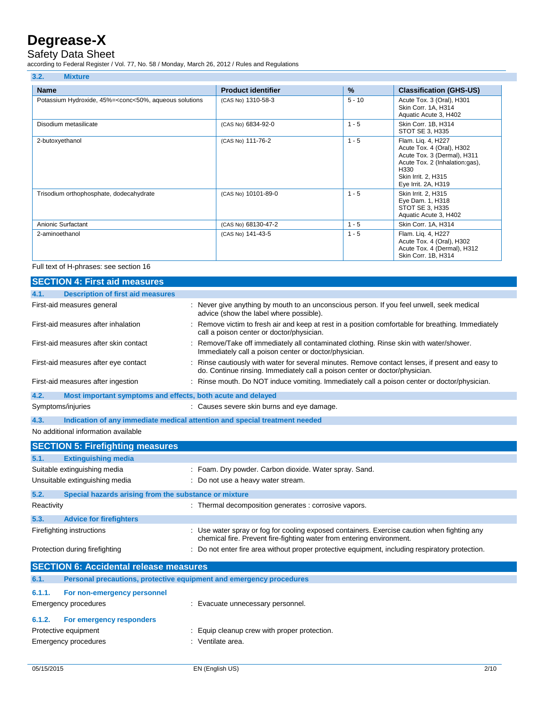### Safety Data Sheet

according to Federal Register / Vol. 77, No. 58 / Monday, March 26, 2012 / Rules and Regulations

| 3.2.<br><b>Mixture</b>                                                                                                                                                                                                      |                           |          |                                                                                                                                                                        |
|-----------------------------------------------------------------------------------------------------------------------------------------------------------------------------------------------------------------------------|---------------------------|----------|------------------------------------------------------------------------------------------------------------------------------------------------------------------------|
| <b>Name</b>                                                                                                                                                                                                                 | <b>Product identifier</b> | %        | <b>Classification (GHS-US)</b>                                                                                                                                         |
| Potassium Hydroxide, 45%= <conc<50%, aqueous="" solutions<="" td=""><td>(CAS No) 1310-58-3</td><td><math>5 - 10</math></td><td>Acute Tox. 3 (Oral), H301<br/>Skin Corr. 1A, H314<br/>Aquatic Acute 3, H402</td></conc<50%,> | (CAS No) 1310-58-3        | $5 - 10$ | Acute Tox. 3 (Oral), H301<br>Skin Corr. 1A, H314<br>Aquatic Acute 3, H402                                                                                              |
| Disodium metasilicate                                                                                                                                                                                                       | (CAS No) 6834-92-0        | $1 - 5$  | Skin Corr. 1B, H314<br>STOT SE 3, H335                                                                                                                                 |
| 2-butoxyethanol                                                                                                                                                                                                             | (CAS No) 111-76-2         | $1 - 5$  | Flam. Lig. 4, H227<br>Acute Tox. 4 (Oral), H302<br>Acute Tox. 3 (Dermal), H311<br>Acute Tox. 2 (Inhalation:gas),<br>H330<br>Skin Irrit. 2, H315<br>Eye Irrit. 2A, H319 |
| Trisodium orthophosphate, dodecahydrate                                                                                                                                                                                     | (CAS No) 10101-89-0       | $1 - 5$  | Skin Irrit. 2, H315<br>Eye Dam. 1, H318<br>STOT SE 3, H335<br>Aquatic Acute 3, H402                                                                                    |
| Anionic Surfactant                                                                                                                                                                                                          | (CAS No) 68130-47-2       | $1 - 5$  | Skin Corr. 1A, H314                                                                                                                                                    |
| 2-aminoethanol                                                                                                                                                                                                              | (CAS No) 141-43-5         | $1 - 5$  | Flam. Lig. 4, H227<br>Acute Tox. 4 (Oral), H302<br>Acute Tox. 4 (Dermal), H312<br>Skin Corr. 1B, H314                                                                  |

Full text of H-phrases: see section 16

|      | <b>SECTION 4: First aid measures</b>                        |                                                                                                                                                                                 |
|------|-------------------------------------------------------------|---------------------------------------------------------------------------------------------------------------------------------------------------------------------------------|
| 4.1. | <b>Description of first aid measures</b>                    |                                                                                                                                                                                 |
|      | First-aid measures general                                  | : Never give anything by mouth to an unconscious person. If you feel unwell, seek medical<br>advice (show the label where possible).                                            |
|      | First-aid measures after inhalation                         | : Remove victim to fresh air and keep at rest in a position comfortable for breathing. Immediately<br>call a poison center or doctor/physician.                                 |
|      | First-aid measures after skin contact                       | : Remove/Take off immediately all contaminated clothing. Rinse skin with water/shower.<br>Immediately call a poison center or doctor/physician.                                 |
|      | First-aid measures after eye contact                        | : Rinse cautiously with water for several minutes. Remove contact lenses, if present and easy to<br>do. Continue rinsing. Immediately call a poison center or doctor/physician. |
|      | First-aid measures after ingestion                          | : Rinse mouth. Do NOT induce vomiting. Immediately call a poison center or doctor/physician.                                                                                    |
| 4.2. | Most important symptoms and effects, both acute and delayed |                                                                                                                                                                                 |
|      | Symptoms/injuries                                           | : Causes severe skin burns and eye damage.                                                                                                                                      |
| 4.3. |                                                             | Indication of any immediate medical attention and special treatment needed                                                                                                      |

#### No additional information available

|                                | <b>SECTION 5: Firefighting measures</b>               |                                                                                                                                                                      |
|--------------------------------|-------------------------------------------------------|----------------------------------------------------------------------------------------------------------------------------------------------------------------------|
| 5.1.                           | <b>Extinguishing media</b>                            |                                                                                                                                                                      |
|                                | Suitable extinguishing media                          | : Foam. Dry powder. Carbon dioxide. Water spray. Sand.                                                                                                               |
|                                | Unsuitable extinguishing media                        | : Do not use a heavy water stream.                                                                                                                                   |
| 5.2.                           | Special hazards arising from the substance or mixture |                                                                                                                                                                      |
| Reactivity                     |                                                       | : Thermal decomposition generates : corrosive vapors.                                                                                                                |
| 5.3.                           | <b>Advice for firefighters</b>                        |                                                                                                                                                                      |
| Firefighting instructions      |                                                       | : Use water spray or fog for cooling exposed containers. Exercise caution when fighting any<br>chemical fire. Prevent fire-fighting water from entering environment. |
| Protection during firefighting |                                                       | : Do not enter fire area without proper protective equipment, including respiratory protection.                                                                      |
|                                | <b>SECTION 6: Accidental release measures</b>         |                                                                                                                                                                      |
| 6.1.                           |                                                       | Personal precautions, protective equipment and emergency procedures                                                                                                  |
| 6.1.1.                         | For non-emergency personnel                           |                                                                                                                                                                      |
| Emergency procedures           |                                                       | : Evacuate unnecessary personnel.                                                                                                                                    |
| 6.1.2.                         | For emergency responders                              |                                                                                                                                                                      |
| Protective equipment           |                                                       | : Equip cleanup crew with proper protection.                                                                                                                         |
| Emergency procedures           |                                                       | : Ventilate area.                                                                                                                                                    |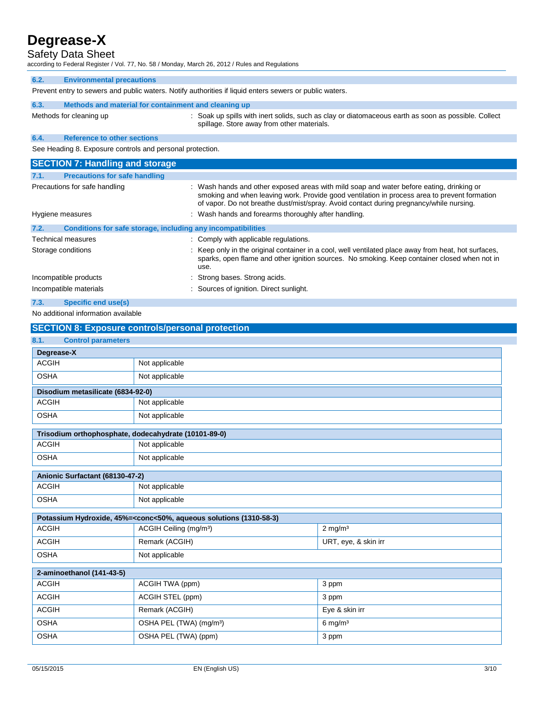### Safety Data Sheet

according to Federal Register / Vol. 77, No. 58 / Monday, March 26, 2012 / Rules and Regulations

Prevent entry to sewers and public waters. Notify authorities if liquid enters sewers or public waters.

| 6.3. | Methods and material for containment and cleaning up |                                                                                                                                                   |
|------|------------------------------------------------------|---------------------------------------------------------------------------------------------------------------------------------------------------|
|      | Methods for cleaning up                              | : Soak up spills with inert solids, such as clay or diatomaceous earth as soon as possible. Collect<br>spillage. Store away from other materials. |
| 6.4. | <b>Reference to other sections</b>                   |                                                                                                                                                   |

See Heading 8. Exposure controls and personal protection.

|                    | <b>SECTION 7: Handling and storage</b>                       |                                                                                                                                                                                                                                                                                     |
|--------------------|--------------------------------------------------------------|-------------------------------------------------------------------------------------------------------------------------------------------------------------------------------------------------------------------------------------------------------------------------------------|
| 7.1.               | <b>Precautions for safe handling</b>                         |                                                                                                                                                                                                                                                                                     |
|                    | Precautions for safe handling                                | : Wash hands and other exposed areas with mild soap and water before eating, drinking or<br>smoking and when leaving work. Provide good ventilation in process area to prevent formation<br>of vapor. Do not breathe dust/mist/spray. Avoid contact during pregnancy/while nursing. |
| Hygiene measures   |                                                              | : Wash hands and forearms thoroughly after handling.                                                                                                                                                                                                                                |
| 7.2.               | Conditions for safe storage, including any incompatibilities |                                                                                                                                                                                                                                                                                     |
| Technical measures |                                                              | : Comply with applicable regulations.                                                                                                                                                                                                                                               |
| Storage conditions |                                                              | : Keep only in the original container in a cool, well ventilated place away from heat, hot surfaces,<br>sparks, open flame and other ignition sources. No smoking. Keep container closed when not in<br>use.                                                                        |
|                    | Incompatible products                                        | : Strong bases. Strong acids.                                                                                                                                                                                                                                                       |
|                    | Incompatible materials                                       | : Sources of ignition. Direct sunlight.                                                                                                                                                                                                                                             |
| 7.3.               | Specific end use(s)                                          |                                                                                                                                                                                                                                                                                     |

### No additional information available

| <b>SECTION 8: Exposure controls/personal protection</b> |                                                                                                          |                       |  |
|---------------------------------------------------------|----------------------------------------------------------------------------------------------------------|-----------------------|--|
| 8.1.<br><b>Control parameters</b>                       |                                                                                                          |                       |  |
| Degrease-X                                              |                                                                                                          |                       |  |
| <b>ACGIH</b>                                            | Not applicable                                                                                           |                       |  |
| <b>OSHA</b>                                             | Not applicable                                                                                           |                       |  |
| Disodium metasilicate (6834-92-0)                       |                                                                                                          |                       |  |
| <b>ACGIH</b>                                            | Not applicable                                                                                           |                       |  |
| <b>OSHA</b>                                             | Not applicable                                                                                           |                       |  |
| Trisodium orthophosphate, dodecahydrate (10101-89-0)    |                                                                                                          |                       |  |
| <b>ACGIH</b>                                            | Not applicable                                                                                           |                       |  |
| <b>OSHA</b>                                             | Not applicable                                                                                           |                       |  |
| Anionic Surfactant (68130-47-2)                         |                                                                                                          |                       |  |
| <b>ACGIH</b>                                            | Not applicable                                                                                           |                       |  |
| <b>OSHA</b>                                             | Not applicable                                                                                           |                       |  |
|                                                         | Potassium Hydroxide, 45%= <conc<50%, (1310-58-3)<="" aqueous="" solutions="" td=""><td></td></conc<50%,> |                       |  |
| <b>ACGIH</b>                                            | ACGIH Ceiling (mg/m <sup>3</sup> )                                                                       | $2$ mg/m <sup>3</sup> |  |
| <b>ACGIH</b>                                            | Remark (ACGIH)                                                                                           | URT, eye, & skin irr  |  |
| <b>OSHA</b>                                             | Not applicable                                                                                           |                       |  |
| 2-aminoethanol (141-43-5)                               |                                                                                                          |                       |  |
| <b>ACGIH</b>                                            | ACGIH TWA (ppm)                                                                                          | 3 ppm                 |  |
| <b>ACGIH</b>                                            | ACGIH STEL (ppm)                                                                                         | 3 ppm                 |  |
| <b>ACGIH</b>                                            | Remark (ACGIH)                                                                                           | Eye & skin irr        |  |
| <b>OSHA</b>                                             | OSHA PEL (TWA) (mg/m <sup>3</sup> )                                                                      | $6$ mg/m <sup>3</sup> |  |
| <b>OSHA</b>                                             | OSHA PEL (TWA) (ppm)                                                                                     | 3 ppm                 |  |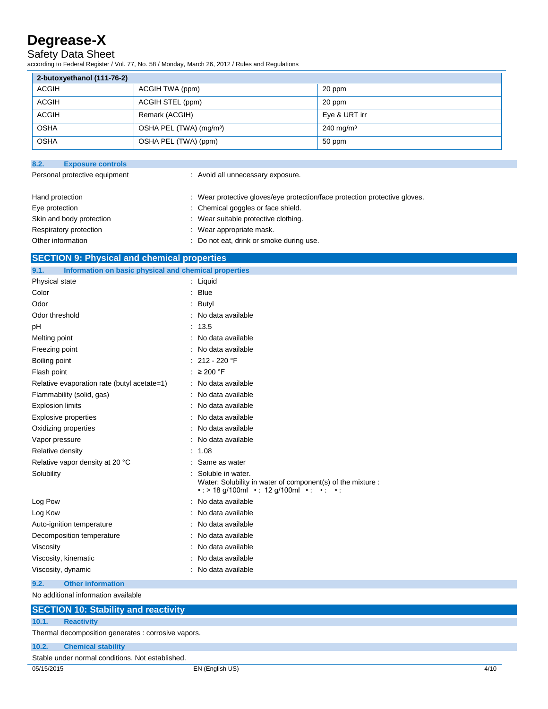### Safety Data Sheet

according to Federal Register / Vol. 77, No. 58 / Monday, March 26, 2012 / Rules and Regulations

| 2-butoxyethanol (111-76-2) |                                     |                         |
|----------------------------|-------------------------------------|-------------------------|
| ACGIH                      | ACGIH TWA (ppm)                     | 20 ppm                  |
| <b>ACGIH</b>               | ACGIH STEL (ppm)                    | 20 ppm                  |
| ACGIH                      | Remark (ACGIH)                      | Eye & URT irr           |
| <b>OSHA</b>                | OSHA PEL (TWA) (mg/m <sup>3</sup> ) | $240 \,\mathrm{mg/m^3}$ |
| <b>OSHA</b>                | OSHA PEL (TWA) (ppm)                | 50 ppm                  |

| 8.2.<br><b>Exposure controls</b> |                                                                            |  |
|----------------------------------|----------------------------------------------------------------------------|--|
| Personal protective equipment    | : Avoid all unnecessary exposure.                                          |  |
| Hand protection                  | : Wear protective gloves/eye protection/face protection protective gloves. |  |
| Eye protection                   | : Chemical goggles or face shield.                                         |  |
| Skin and body protection         | : Wear suitable protective clothing.                                       |  |
| Respiratory protection           | : Wear appropriate mask.                                                   |  |
| Other information                | : Do not eat, drink or smoke during use.                                   |  |

| <b>SECTION 9: Physical and chemical properties</b> |  |
|----------------------------------------------------|--|
|                                                    |  |

| Information on basic physical and chemical properties<br>9.1. |                                                                                                                                 |
|---------------------------------------------------------------|---------------------------------------------------------------------------------------------------------------------------------|
| Physical state                                                | $:$ Liquid                                                                                                                      |
| Color                                                         | : Blue                                                                                                                          |
| Odor                                                          | Butyl                                                                                                                           |
| Odor threshold                                                | No data available                                                                                                               |
| рH                                                            | : 13.5                                                                                                                          |
| Melting point                                                 | : No data available                                                                                                             |
| Freezing point                                                | : No data available                                                                                                             |
| Boiling point                                                 | $: 212 - 220$ °F                                                                                                                |
| Flash point                                                   | : $\geq 200$ °F                                                                                                                 |
| Relative evaporation rate (butyl acetate=1)                   | : No data available                                                                                                             |
| Flammability (solid, gas)                                     | No data available                                                                                                               |
| <b>Explosion limits</b>                                       | No data available                                                                                                               |
| <b>Explosive properties</b>                                   | : No data available                                                                                                             |
| Oxidizing properties                                          | : No data available                                                                                                             |
| Vapor pressure                                                | : No data available                                                                                                             |
| Relative density                                              | : 1.08                                                                                                                          |
| Relative vapor density at 20 °C                               | Same as water                                                                                                                   |
| Solubility                                                    | Soluble in water.<br>Water: Solubility in water of component(s) of the mixture :<br>• : > 18 g/100ml • : 12 g/100ml • : • : • : |
| Log Pow                                                       | : No data available                                                                                                             |
| Log Kow                                                       | : No data available                                                                                                             |
| Auto-ignition temperature                                     | No data available                                                                                                               |
| Decomposition temperature                                     | No data available                                                                                                               |
| Viscosity                                                     | : No data available                                                                                                             |
| Viscosity, kinematic                                          | : No data available                                                                                                             |
| Viscosity, dynamic                                            | : No data available                                                                                                             |
| 9.2.<br><b>Other information</b>                              |                                                                                                                                 |

No additional information available

# **SECTION 10: Stability and reactivity**

**10.1. Reactivity**

Thermal decomposition generates : corrosive vapors.

### **10.2. Chemical stability**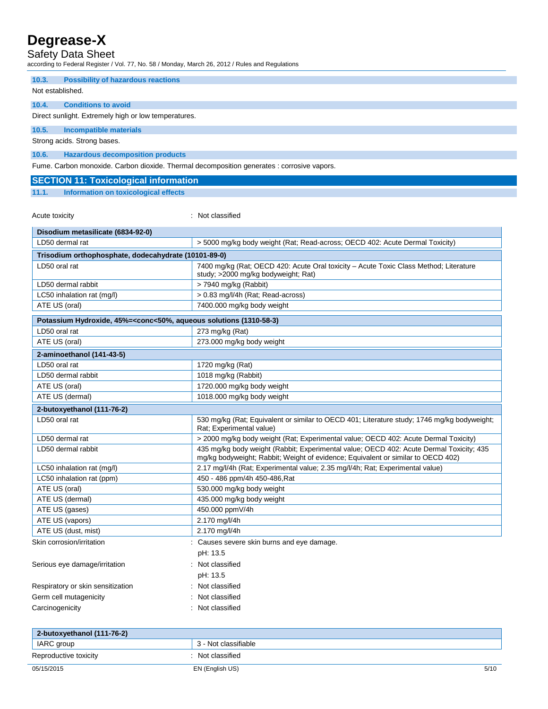### Safety Data Sheet

according to Federal Register / Vol. 77, No. 58 / Monday, March 26, 2012 / Rules and Regulations

#### **10.3. Possibility of hazardous reactions**

Not established.

### **10.4. Conditions to avoid**

Direct sunlight. Extremely high or low temperatures.

**10.5. Incompatible materials**

Strong acids. Strong bases.

### **10.6. Hazardous decomposition products**

Fume. Carbon monoxide. Carbon dioxide. Thermal decomposition generates : corrosive vapors.

#### **SECTION 11: Toxicological information**

#### **11.1. Information on toxicological effects**

Acute toxicity in the contract of the classified in the classified in the classified in the classified in the classified in the classified in the classified in the classified in the classified in the classified in the clas

| Disodium metasilicate (6834-92-0)                                                                        |                                                                                                                                                                             |  |
|----------------------------------------------------------------------------------------------------------|-----------------------------------------------------------------------------------------------------------------------------------------------------------------------------|--|
| LD50 dermal rat                                                                                          | > 5000 mg/kg body weight (Rat; Read-across; OECD 402: Acute Dermal Toxicity)                                                                                                |  |
| Trisodium orthophosphate, dodecahydrate (10101-89-0)                                                     |                                                                                                                                                                             |  |
| LD50 oral rat                                                                                            | 7400 mg/kg (Rat; OECD 420: Acute Oral toxicity - Acute Toxic Class Method; Literature<br>study; >2000 mg/kg bodyweight; Rat)                                                |  |
| LD50 dermal rabbit                                                                                       | > 7940 mg/kg (Rabbit)                                                                                                                                                       |  |
| LC50 inhalation rat (mg/l)                                                                               | > 0.83 mg/l/4h (Rat; Read-across)                                                                                                                                           |  |
| ATE US (oral)                                                                                            | 7400.000 mg/kg body weight                                                                                                                                                  |  |
| Potassium Hydroxide, 45%= <conc<50%, (1310-58-3)<="" aqueous="" solutions="" td=""><td></td></conc<50%,> |                                                                                                                                                                             |  |
| LD50 oral rat                                                                                            | 273 mg/kg (Rat)                                                                                                                                                             |  |
| ATE US (oral)                                                                                            | 273.000 mg/kg body weight                                                                                                                                                   |  |
| 2-aminoethanol (141-43-5)                                                                                |                                                                                                                                                                             |  |
| LD50 oral rat                                                                                            | 1720 mg/kg (Rat)                                                                                                                                                            |  |
| LD50 dermal rabbit                                                                                       | 1018 mg/kg (Rabbit)                                                                                                                                                         |  |
| ATE US (oral)                                                                                            | 1720.000 mg/kg body weight                                                                                                                                                  |  |
| ATE US (dermal)                                                                                          | 1018.000 mg/kg body weight                                                                                                                                                  |  |
| 2-butoxyethanol (111-76-2)                                                                               |                                                                                                                                                                             |  |
| LD50 oral rat                                                                                            | 530 mg/kg (Rat; Equivalent or similar to OECD 401; Literature study; 1746 mg/kg bodyweight;<br>Rat: Experimental value)                                                     |  |
| LD50 dermal rat                                                                                          | > 2000 mg/kg body weight (Rat: Experimental value: OECD 402: Acute Dermal Toxicity)                                                                                         |  |
| LD50 dermal rabbit                                                                                       | 435 mg/kg body weight (Rabbit; Experimental value; OECD 402: Acute Dermal Toxicity; 435<br>mg/kg bodyweight; Rabbit; Weight of evidence; Equivalent or similar to OECD 402) |  |
| LC50 inhalation rat (mg/l)                                                                               | 2.17 mg/l/4h (Rat; Experimental value; 2.35 mg/l/4h; Rat; Experimental value)                                                                                               |  |
| LC50 inhalation rat (ppm)                                                                                | 450 - 486 ppm/4h 450-486, Rat                                                                                                                                               |  |
| ATE US (oral)                                                                                            | 530.000 mg/kg body weight                                                                                                                                                   |  |
| ATE US (dermal)                                                                                          | 435.000 mg/kg body weight                                                                                                                                                   |  |
| ATE US (gases)                                                                                           | 450.000 ppmV/4h                                                                                                                                                             |  |
| ATE US (vapors)                                                                                          | 2.170 mg/l/4h                                                                                                                                                               |  |
| ATE US (dust, mist)                                                                                      | 2.170 mg/l/4h                                                                                                                                                               |  |
| Skin corrosion/irritation                                                                                | : Causes severe skin burns and eye damage.                                                                                                                                  |  |
|                                                                                                          | pH: 13.5                                                                                                                                                                    |  |
| Serious eye damage/irritation                                                                            | : Not classified                                                                                                                                                            |  |
|                                                                                                          | pH: 13.5                                                                                                                                                                    |  |
| Respiratory or skin sensitization                                                                        | : Not classified                                                                                                                                                            |  |
| Germ cell mutagenicity                                                                                   | Not classified                                                                                                                                                              |  |
| Carcinogenicity                                                                                          | Not classified                                                                                                                                                              |  |
|                                                                                                          |                                                                                                                                                                             |  |

| 2-butoxyethanol (111-76-2) |                      |      |
|----------------------------|----------------------|------|
| IARC group                 | 3 - Not classifiable |      |
| Reproductive toxicity      | Not classified       |      |
| 05/15/2015                 | EN (English US)      | 5/10 |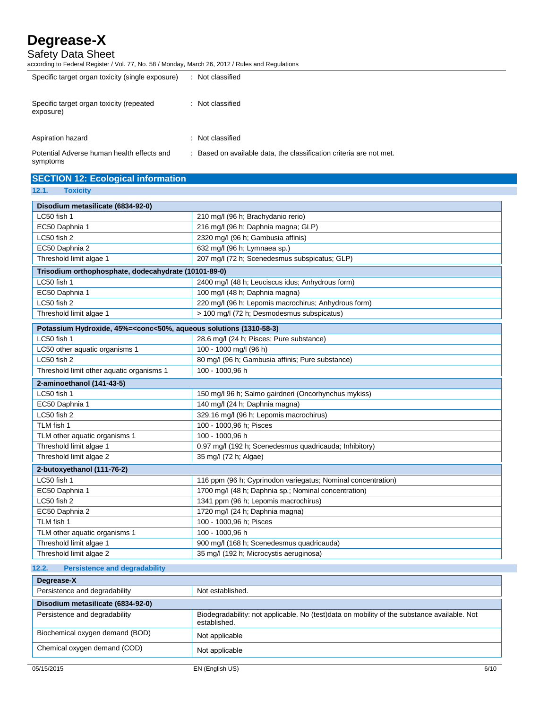Safety Data Sheet

according to Federal Register / Vol. 77, No. 58 / Monday, March 26, 2012 / Rules and Regulations

| Specific target organ toxicity (single exposure)      | : Not classified |
|-------------------------------------------------------|------------------|
| Specific target organ toxicity (repeated<br>exposure) | : Not classified |
| Aspiration hazard                                     | : Not classified |
|                                                       |                  |

Potential Adverse human health effects and symptoms

: Based on available data, the classification criteria are not met.

| <b>SECTION 12: Ecological information</b><br>12.1.<br><b>Toxicity</b>                                    |                                                              |
|----------------------------------------------------------------------------------------------------------|--------------------------------------------------------------|
|                                                                                                          |                                                              |
| Disodium metasilicate (6834-92-0)                                                                        |                                                              |
| LC50 fish 1                                                                                              | 210 mg/l (96 h; Brachydanio rerio)                           |
| EC50 Daphnia 1                                                                                           | 216 mg/l (96 h; Daphnia magna; GLP)                          |
| LC50 fish 2                                                                                              | 2320 mg/l (96 h; Gambusia affinis)                           |
| EC50 Daphnia 2                                                                                           | 632 mg/l (96 h; Lymnaea sp.)                                 |
| Threshold limit algae 1                                                                                  | 207 mg/l (72 h; Scenedesmus subspicatus; GLP)                |
| Trisodium orthophosphate, dodecahydrate (10101-89-0)                                                     |                                                              |
| LC50 fish 1                                                                                              | 2400 mg/l (48 h; Leuciscus idus; Anhydrous form)             |
| EC50 Daphnia 1                                                                                           | 100 mg/l (48 h; Daphnia magna)                               |
| LC50 fish 2                                                                                              | 220 mg/l (96 h; Lepomis macrochirus; Anhydrous form)         |
| Threshold limit algae 1                                                                                  | > 100 mg/l (72 h; Desmodesmus subspicatus)                   |
| Potassium Hydroxide, 45%= <conc<50%, (1310-58-3)<="" aqueous="" solutions="" td=""><td></td></conc<50%,> |                                                              |
| LC50 fish 1                                                                                              | 28.6 mg/l (24 h; Pisces; Pure substance)                     |
| LC50 other aquatic organisms 1                                                                           | 100 - 1000 mg/l (96 h)                                       |
| LC50 fish 2                                                                                              | 80 mg/l (96 h; Gambusia affinis; Pure substance)             |
| Threshold limit other aquatic organisms 1                                                                | 100 - 1000,96 h                                              |
| 2-aminoethanol (141-43-5)                                                                                |                                                              |
| LC50 fish 1                                                                                              | 150 mg/l 96 h; Salmo gairdneri (Oncorhynchus mykiss)         |
| EC50 Daphnia 1                                                                                           | 140 mg/l (24 h; Daphnia magna)                               |
| LC50 fish 2                                                                                              | 329.16 mg/l (96 h; Lepomis macrochirus)                      |
| TLM fish 1                                                                                               | 100 - 1000,96 h; Pisces                                      |
| TLM other aquatic organisms 1                                                                            | 100 - 1000.96 h                                              |
| Threshold limit algae 1                                                                                  | 0.97 mg/l (192 h; Scenedesmus quadricauda; Inhibitory)       |
| Threshold limit algae 2                                                                                  | 35 mg/l (72 h; Algae)                                        |
| 2-butoxyethanol (111-76-2)                                                                               |                                                              |
| LC50 fish 1                                                                                              | 116 ppm (96 h; Cyprinodon variegatus; Nominal concentration) |
| EC50 Daphnia 1                                                                                           | 1700 mg/l (48 h; Daphnia sp.; Nominal concentration)         |
| LC50 fish 2                                                                                              | 1341 ppm (96 h; Lepomis macrochirus)                         |
| EC50 Daphnia 2                                                                                           | 1720 mg/l (24 h; Daphnia magna)                              |
| TLM fish 1                                                                                               | 100 - 1000,96 h; Pisces                                      |
| TLM other aquatic organisms 1                                                                            | 100 - 1000,96 h                                              |
| Threshold limit algae 1                                                                                  | 900 mg/l (168 h; Scenedesmus quadricauda)                    |
| Threshold limit algae 2                                                                                  | 35 mg/l (192 h; Microcystis aeruginosa)                      |
| 12.2.<br><b>Persistence and degradability</b>                                                            |                                                              |
| Degrease-X                                                                                               |                                                              |
| Persistence and degradability                                                                            | Not established.                                             |

| Persistence and degradability     | <b>NOL ESTADISTIEG.</b>                                                                                     |
|-----------------------------------|-------------------------------------------------------------------------------------------------------------|
| Disodium metasilicate (6834-92-0) |                                                                                                             |
| Persistence and degradability     | Biodegradability: not applicable. No (test)data on mobility of the substance available. Not<br>established. |
| Biochemical oxygen demand (BOD)   | Not applicable                                                                                              |
| Chemical oxygen demand (COD)      | Not applicable                                                                                              |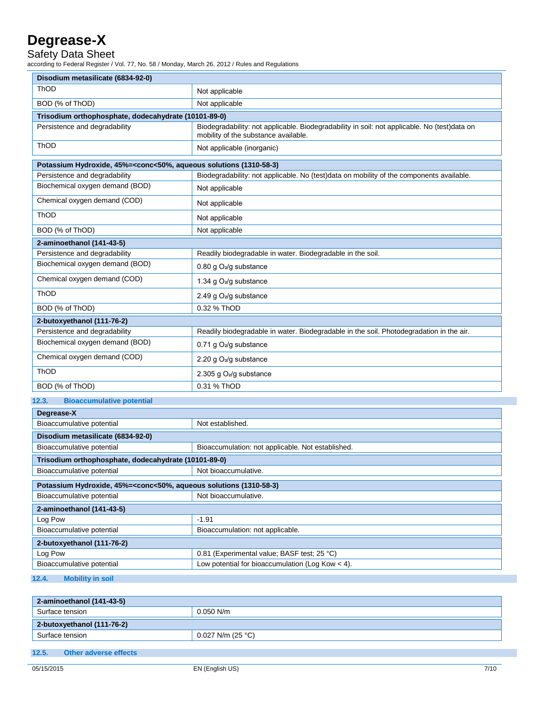Safety Data Sheet

according to Federal Register / Vol. 77, No. 58 / Monday, March 26, 2012 / Rules and Regulations

| Disodium metasilicate (6834-92-0)                                                                        |                                                                                                                                      |  |
|----------------------------------------------------------------------------------------------------------|--------------------------------------------------------------------------------------------------------------------------------------|--|
| ThOD                                                                                                     | Not applicable                                                                                                                       |  |
| BOD (% of ThOD)                                                                                          | Not applicable                                                                                                                       |  |
| Trisodium orthophosphate, dodecahydrate (10101-89-0)                                                     |                                                                                                                                      |  |
| Persistence and degradability                                                                            | Biodegradability: not applicable. Biodegradability in soil: not applicable. No (test)data on<br>mobility of the substance available. |  |
| ThOD                                                                                                     | Not applicable (inorganic)                                                                                                           |  |
| Potassium Hydroxide, 45%= <conc<50%, (1310-58-3)<="" aqueous="" solutions="" td=""><td></td></conc<50%,> |                                                                                                                                      |  |
| Persistence and degradability                                                                            | Biodegradability: not applicable. No (test)data on mobility of the components available.                                             |  |
| Biochemical oxygen demand (BOD)                                                                          | Not applicable                                                                                                                       |  |
| Chemical oxygen demand (COD)                                                                             | Not applicable                                                                                                                       |  |
| ThOD                                                                                                     | Not applicable                                                                                                                       |  |
| BOD (% of ThOD)                                                                                          | Not applicable                                                                                                                       |  |
| 2-aminoethanol (141-43-5)                                                                                |                                                                                                                                      |  |
| Persistence and degradability                                                                            | Readily biodegradable in water. Biodegradable in the soil.                                                                           |  |
| Biochemical oxygen demand (BOD)                                                                          | 0.80 g O <sub>2</sub> /g substance                                                                                                   |  |
| Chemical oxygen demand (COD)                                                                             | 1.34 g O <sub>2</sub> /g substance                                                                                                   |  |
| ThOD                                                                                                     | 2.49 g O <sub>2</sub> /g substance                                                                                                   |  |
| BOD (% of ThOD)                                                                                          | 0.32 % ThOD                                                                                                                          |  |
| 2-butoxyethanol (111-76-2)                                                                               |                                                                                                                                      |  |
| Persistence and degradability                                                                            | Readily biodegradable in water. Biodegradable in the soil. Photodegradation in the air.                                              |  |
| Biochemical oxygen demand (BOD)                                                                          | 0.71 g O <sub>2</sub> /g substance                                                                                                   |  |
| Chemical oxygen demand (COD)                                                                             | 2.20 g $O_2$ /g substance                                                                                                            |  |
| ThOD                                                                                                     | 2.305 g O <sub>2</sub> /g substance                                                                                                  |  |
| BOD (% of ThOD)                                                                                          | 0.31 % ThOD                                                                                                                          |  |
| 12.3.<br><b>Bioaccumulative potential</b>                                                                |                                                                                                                                      |  |
| Degrease-X                                                                                               |                                                                                                                                      |  |
| Bioaccumulative potential                                                                                | Not established.                                                                                                                     |  |
| Disodium metasilicate (6834-92-0)                                                                        |                                                                                                                                      |  |
| Bioaccumulative potential                                                                                | Bioaccumulation: not applicable. Not established.                                                                                    |  |
| Trisodium orthophosphate, dodecahydrate (10101-89-0)                                                     |                                                                                                                                      |  |
| Bioaccumulative potential                                                                                | Not bioaccumulative.                                                                                                                 |  |
| Potassium Hydroxide, 45%= <conc<50%, (1310-58-3)<="" aqueous="" solutions="" td=""><td></td></conc<50%,> |                                                                                                                                      |  |
| Bioaccumulative potential                                                                                | Not bioaccumulative.                                                                                                                 |  |
| 2-aminoethanol (141-43-5)                                                                                |                                                                                                                                      |  |
| Log Pow                                                                                                  | $-1.91$                                                                                                                              |  |
| Bioaccumulative potential                                                                                | Bioaccumulation: not applicable.                                                                                                     |  |
| 2-butoxyethanol (111-76-2)                                                                               |                                                                                                                                      |  |
| Log Pow                                                                                                  | 0.81 (Experimental value; BASF test; 25 °C)                                                                                          |  |
| Bioaccumulative potential                                                                                | Low potential for bioaccumulation (Log Kow $<$ 4).                                                                                   |  |
| 12.4.<br><b>Mobility in soil</b>                                                                         |                                                                                                                                      |  |

| 2-aminoethanol (141-43-5)  |                     |
|----------------------------|---------------------|
| Surface tension            | $0.050$ N/m         |
| 2-butoxyethanol (111-76-2) |                     |
| Surface tension            | $0.027$ N/m (25 °C) |
|                            |                     |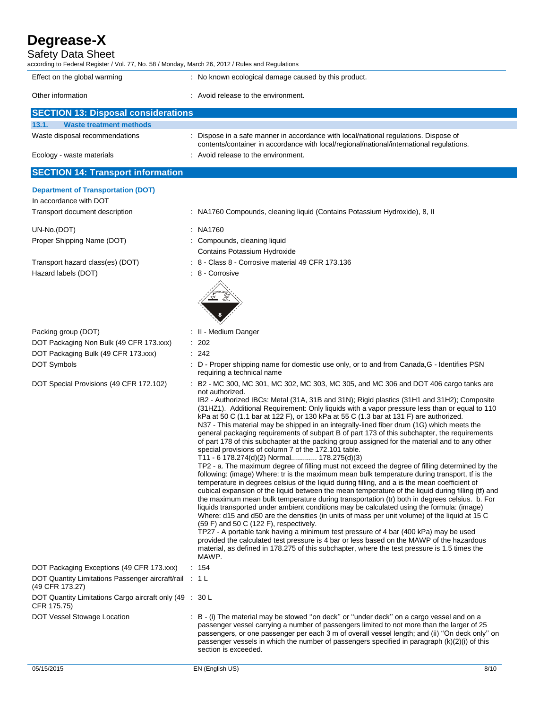Safety Data Sheet

| according to Federal Register / Vol. 77, No. 58 / Monday, March 26, 2012 / Rules and Regulations |                                                                                                                                                                                                                                                                                                                                                                                                                                              |
|--------------------------------------------------------------------------------------------------|----------------------------------------------------------------------------------------------------------------------------------------------------------------------------------------------------------------------------------------------------------------------------------------------------------------------------------------------------------------------------------------------------------------------------------------------|
| Effect on the global warming                                                                     | : No known ecological damage caused by this product.                                                                                                                                                                                                                                                                                                                                                                                         |
| Other information                                                                                | : Avoid release to the environment.                                                                                                                                                                                                                                                                                                                                                                                                          |
| <b>SECTION 13: Disposal considerations</b>                                                       |                                                                                                                                                                                                                                                                                                                                                                                                                                              |
| <b>Waste treatment methods</b><br>13.1.                                                          |                                                                                                                                                                                                                                                                                                                                                                                                                                              |
| Waste disposal recommendations                                                                   | : Dispose in a safe manner in accordance with local/national regulations. Dispose of<br>contents/container in accordance with local/regional/national/international regulations.                                                                                                                                                                                                                                                             |
| Ecology - waste materials                                                                        | : Avoid release to the environment.                                                                                                                                                                                                                                                                                                                                                                                                          |
| <b>SECTION 14: Transport information</b>                                                         |                                                                                                                                                                                                                                                                                                                                                                                                                                              |
| <b>Department of Transportation (DOT)</b>                                                        |                                                                                                                                                                                                                                                                                                                                                                                                                                              |
| In accordance with DOT                                                                           |                                                                                                                                                                                                                                                                                                                                                                                                                                              |
| Transport document description                                                                   | : NA1760 Compounds, cleaning liquid (Contains Potassium Hydroxide), 8, II                                                                                                                                                                                                                                                                                                                                                                    |
| UN-No.(DOT)                                                                                      | : NA1760                                                                                                                                                                                                                                                                                                                                                                                                                                     |
| Proper Shipping Name (DOT)                                                                       | : Compounds, cleaning liquid                                                                                                                                                                                                                                                                                                                                                                                                                 |
|                                                                                                  | Contains Potassium Hydroxide                                                                                                                                                                                                                                                                                                                                                                                                                 |
| Transport hazard class(es) (DOT)<br>Hazard labels (DOT)                                          | : 8 - Class 8 - Corrosive material 49 CFR 173.136<br>: 8 - Corrosive                                                                                                                                                                                                                                                                                                                                                                         |
|                                                                                                  |                                                                                                                                                                                                                                                                                                                                                                                                                                              |
|                                                                                                  |                                                                                                                                                                                                                                                                                                                                                                                                                                              |
|                                                                                                  |                                                                                                                                                                                                                                                                                                                                                                                                                                              |
|                                                                                                  |                                                                                                                                                                                                                                                                                                                                                                                                                                              |
| Packing group (DOT)                                                                              | : II - Medium Danger                                                                                                                                                                                                                                                                                                                                                                                                                         |
| DOT Packaging Non Bulk (49 CFR 173.xxx)                                                          | $\therefore$ 202                                                                                                                                                                                                                                                                                                                                                                                                                             |
| DOT Packaging Bulk (49 CFR 173.xxx)<br>DOT Symbols                                               | : 242<br>: D - Proper shipping name for domestic use only, or to and from Canada, G - Identifies PSN                                                                                                                                                                                                                                                                                                                                         |
|                                                                                                  | requiring a technical name                                                                                                                                                                                                                                                                                                                                                                                                                   |
| DOT Special Provisions (49 CFR 172.102)                                                          | : B2 - MC 300, MC 301, MC 302, MC 303, MC 305, and MC 306 and DOT 406 cargo tanks are<br>not authorized.<br>IB2 - Authorized IBCs: Metal (31A, 31B and 31N); Rigid plastics (31H1 and 31H2); Composite<br>(31HZ1). Additional Requirement: Only liquids with a vapor pressure less than or equal to 110                                                                                                                                      |
|                                                                                                  | kPa at 50 C (1.1 bar at 122 F), or 130 kPa at 55 C (1.3 bar at 131 F) are authorized.<br>N37 - This material may be shipped in an integrally-lined fiber drum (1G) which meets the<br>general packaging requirements of subpart B of part 173 of this subchapter, the requirements<br>of part 178 of this subchapter at the packing group assigned for the material and to any other<br>special provisions of column 7 of the 172.101 table. |
|                                                                                                  | T11 - 6 178.274(d)(2) Normal 178.275(d)(3)                                                                                                                                                                                                                                                                                                                                                                                                   |
|                                                                                                  | TP2 - a. The maximum degree of filling must not exceed the degree of filling determined by the<br>following: (image) Where: tr is the maximum mean bulk temperature during transport, tf is the<br>temperature in degrees celsius of the liquid during filling, and a is the mean coefficient of<br>cubical expansion of the liquid between the mean temperature of the liquid during filling (tf) and                                       |
|                                                                                                  | the maximum mean bulk temperature during transportation (tr) both in degrees celsius. b. For<br>liquids transported under ambient conditions may be calculated using the formula: (image)<br>Where: d15 and d50 are the densities (in units of mass per unit volume) of the liquid at 15 C<br>(59 F) and 50 C (122 F), respectively.                                                                                                         |
|                                                                                                  | TP27 - A portable tank having a minimum test pressure of 4 bar (400 kPa) may be used<br>provided the calculated test pressure is 4 bar or less based on the MAWP of the hazardous<br>material, as defined in 178.275 of this subchapter, where the test pressure is 1.5 times the                                                                                                                                                            |
| DOT Packaging Exceptions (49 CFR 173.xxx)                                                        | MAWP.<br>: 154                                                                                                                                                                                                                                                                                                                                                                                                                               |
| DOT Quantity Limitations Passenger aircraft/rail : 1 L<br>(49 CFR 173.27)                        |                                                                                                                                                                                                                                                                                                                                                                                                                                              |
| DOT Quantity Limitations Cargo aircraft only (49 : 30 L<br>CFR 175.75)                           |                                                                                                                                                                                                                                                                                                                                                                                                                                              |
| DOT Vessel Stowage Location                                                                      | : B - (i) The material may be stowed "on deck" or "under deck" on a cargo vessel and on a<br>passenger vessel carrying a number of passengers limited to not more than the larger of 25<br>passengers, or one passenger per each 3 m of overall vessel length; and (ii) "On deck only" on<br>passenger vessels in which the number of passengers specified in paragraph (k)(2)(i) of this<br>section is exceeded.                            |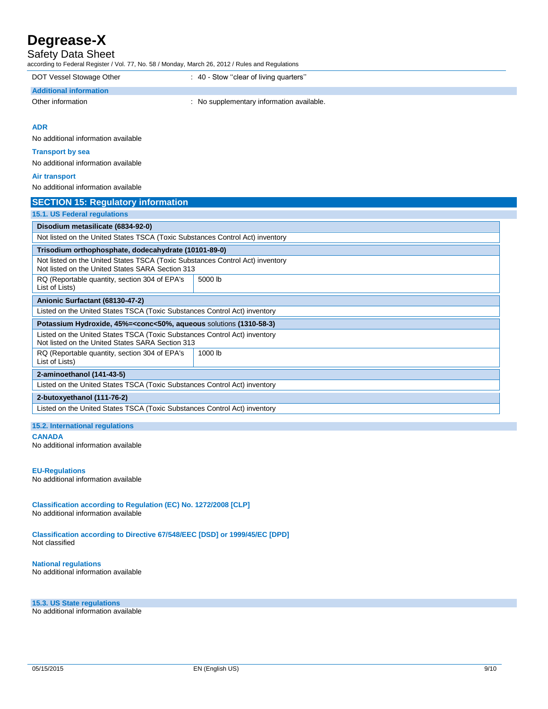Safety Data Sheet

according to Federal Register / Vol. 77, No. 58 / Monday, March 26, 2012 / Rules and Regulations

DOT Vessel Stowage Other : 40 - Stow "clear of living quarters"

### **Additional information**

Other information **contracts** : No supplementary information available.

**ADR**

No additional information available

#### **Transport by sea**

No additional information available

#### **Air transport**

No additional information available

| <b>SECTION 15: Regulatory information</b>                                                                                         |         |  |
|-----------------------------------------------------------------------------------------------------------------------------------|---------|--|
| <b>15.1. US Federal regulations</b>                                                                                               |         |  |
| Disodium metasilicate (6834-92-0)                                                                                                 |         |  |
| Not listed on the United States TSCA (Toxic Substances Control Act) inventory                                                     |         |  |
| Trisodium orthophosphate, dodecahydrate (10101-89-0)                                                                              |         |  |
| Not listed on the United States TSCA (Toxic Substances Control Act) inventory<br>Not listed on the United States SARA Section 313 |         |  |
| RQ (Reportable quantity, section 304 of EPA's<br>List of Lists)                                                                   | 5000 lb |  |
| Anionic Surfactant (68130-47-2)                                                                                                   |         |  |
| Listed on the United States TSCA (Toxic Substances Control Act) inventory                                                         |         |  |
| Potassium Hydroxide, 45%= <conc<50%, (1310-58-3)<="" aqueous="" solutions="" td=""></conc<50%,>                                   |         |  |
| Listed on the United States TSCA (Toxic Substances Control Act) inventory<br>Not listed on the United States SARA Section 313     |         |  |
| RQ (Reportable quantity, section 304 of EPA's<br>List of Lists)                                                                   | 1000 lb |  |
| 2-aminoethanol (141-43-5)                                                                                                         |         |  |
| Listed on the United States TSCA (Toxic Substances Control Act) inventory                                                         |         |  |
| 2-butoxyethanol (111-76-2)                                                                                                        |         |  |
| Listed on the United States TSCA (Toxic Substances Control Act) inventory                                                         |         |  |

#### **15.2. International regulations CANADA**

No additional information available

#### **EU-Regulations**

No additional information available

**Classification according to Regulation (EC) No. 1272/2008 [CLP]** No additional information available

**Classification according to Directive 67/548/EEC [DSD] or 1999/45/EC [DPD]** Not classified

**National regulations** No additional information available

**15.3. US State regulations**

No additional information available